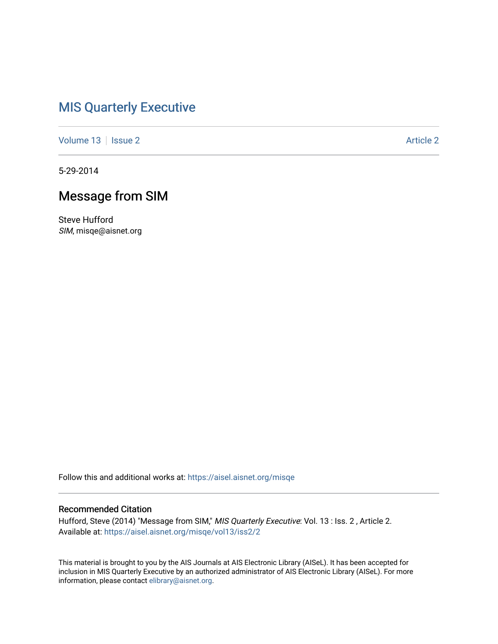### [MIS Quarterly Executive](https://aisel.aisnet.org/misqe)

[Volume 13](https://aisel.aisnet.org/misqe/vol13) | [Issue 2](https://aisel.aisnet.org/misqe/vol13/iss2) Article 2

5-29-2014

# Message from SIM

Steve Hufford SIM, misqe@aisnet.org

Follow this and additional works at: [https://aisel.aisnet.org/misqe](https://aisel.aisnet.org/misqe?utm_source=aisel.aisnet.org%2Fmisqe%2Fvol13%2Fiss2%2F2&utm_medium=PDF&utm_campaign=PDFCoverPages)

#### Recommended Citation

Hufford, Steve (2014) "Message from SIM," MIS Quarterly Executive: Vol. 13 : Iss. 2, Article 2. Available at: [https://aisel.aisnet.org/misqe/vol13/iss2/2](https://aisel.aisnet.org/misqe/vol13/iss2/2?utm_source=aisel.aisnet.org%2Fmisqe%2Fvol13%2Fiss2%2F2&utm_medium=PDF&utm_campaign=PDFCoverPages)

This material is brought to you by the AIS Journals at AIS Electronic Library (AISeL). It has been accepted for inclusion in MIS Quarterly Executive by an authorized administrator of AIS Electronic Library (AISeL). For more information, please contact [elibrary@aisnet.org.](mailto:elibrary@aisnet.org%3E)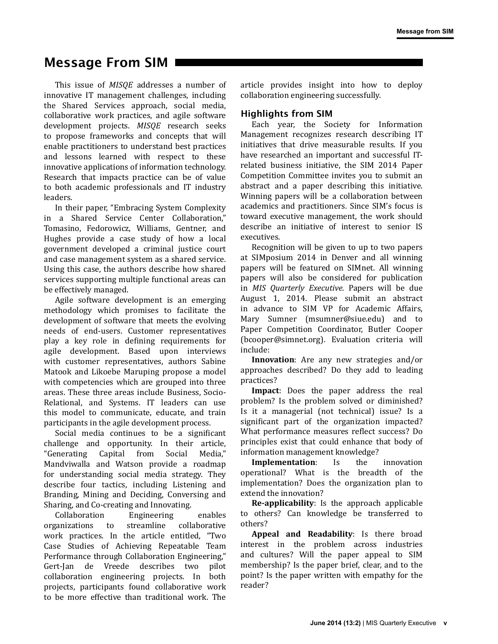# Message From SIM

This issue of *MISQE* addresses a number of innovative IT management challenges, including the Shared Services approach, social media, collaborative work practices, and agile software development projects. *MISQE* research seeks to propose frameworks and concepts that will enable practitioners to understand best practices and lessons learned with respect to these innovative applications of information technology. Research that impacts practice can be of value to both academic professionals and IT industry leaders.

In their paper, "Embracing System Complexity in a Shared Service Center Collaboration," Tomasino, Fedorowicz, Williams, Gentner, and Hughes provide a case study of how a local government developed a criminal justice court and case management system as a shared service. Using this case, the authors describe how shared services supporting multiple functional areas can be effectively managed.

Agile software development is an emerging methodology which promises to facilitate the development of software that meets the evolving needs of end-users. Customer representatives play a key role in defining requirements for agile development. Based upon interviews with customer representatives, authors Sabine Matook and Likoebe Maruping propose a model with competencies which are grouped into three areas. These three areas include Business, Socio-Relational, and Systems. IT leaders can use this model to communicate, educate, and train participants in the agile development process.

Social media continues to be a significant challenge and opportunity. In their article,<br>"Generating Capital from Social Media," Capital from Social Media," Mandviwalla and Watson provide a roadmap for understanding social media strategy. They describe four tactics, including Listening and Branding, Mining and Deciding, Conversing and Sharing, and Co-creating and Innovating.

Collaboration Engineering enables<br>organizations to streamline collaborative to streamline collaborative work practices. In the article entitled, "Two Case Studies of Achieving Repeatable Team Performance through Collaboration Engineering," Gert-Jan de Vreede describes two pilot collaboration engineering projects. In both projects, participants found collaborative work to be more effective than traditional work. The article provides insight into how to deploy collaboration engineering successfully.

### Highlights from SIM

Each year, the Society for Information Management recognizes research describing IT initiatives that drive measurable results. If you have researched an important and successful ITrelated business initiative, the SIM 2014 Paper Competition Committee invites you to submit an abstract and a paper describing this initiative. Winning papers will be a collaboration between academics and practitioners. Since SIM's focus is toward executive management, the work should describe an initiative of interest to senior IS executives.

Recognition will be given to up to two papers at SIMposium 2014 in Denver and all winning papers will be featured on SIMnet. All winning papers will also be considered for publication in *MIS Quarterly Executive*. Papers will be due August 1, 2014. Please submit an abstract in advance to SIM VP for Academic Affairs, Mary Sumner [\(msumner@siue.edu](mailto:msumner@siue.edu)) and to Paper Competition Coordinator, Butler Cooper [\(bcooper@simnet.org](mailto:bcooper@simnet.org)). Evaluation criteria will include:

**Innovation**: Are any new strategies and/or approaches described? Do they add to leading practices?

**Impact**: Does the paper address the real problem? Is the problem solved or diminished? Is it a managerial (not technical) issue? Is a significant part of the organization impacted? What performance measures reflect success? Do principles exist that could enhance that body of information management knowledge?<br> **Implementation**: Is the

**Implementation**: Is the innovation operational? What is the breadth of the implementation? Does the organization plan to extend the innovation?

**Re-applicability**: Is the approach applicable to others? Can knowledge be transferred to others?

**Appeal and Readability**: Is there broad interest in the problem across industries and cultures? Will the paper appeal to SIM membership? Is the paper brief, clear, and to the point? Is the paper written with empathy for the reader?